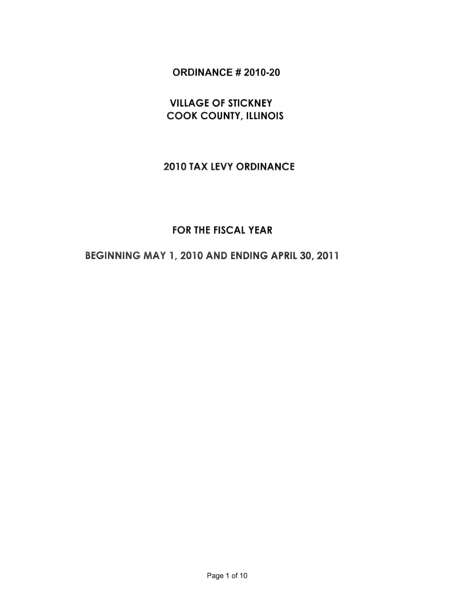## ORDINANCE # 2010-20

# VILLAGE OF STICKNEY COOK COUNTY, ILLINOIS

## 2010 TAX LEVY ORDINANCE

# FOR THE FISCAL YEAR

## BEGINNING MAY 1, 2010 AND ENDING APRIL 30, 2011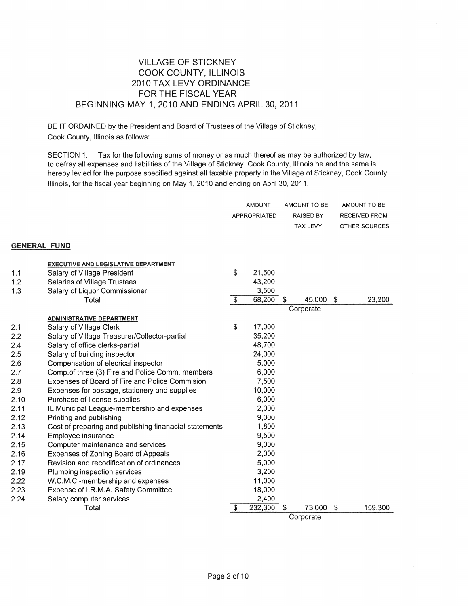#### VILLAGE OF STICKNEY COOK COUNTY, ILLINOIS 2010 TAX LEVY ORDINANCE FOR THE FISCAL YEAR BEGINNING MAY 1, 2010 AND ENDING APRIL 30,2011

BE IT ORDAINED by the President and Board of Trustees of the Village of Stickney, Cook County, Illinois as follows:

SECTION 1. Tax for the following sums of money or as much thereof as may be authorized by law, to defray all expenses and liabilities of the Village of Stickney, Cook County, Illinois be and the same is hereby levied for the purpose specified against all taxable property in the Village of Stickney, Cook County Illinois, for the fiscal year beginning on May 1, 2010 and ending on April 30, 2011.

|                     |                                                        |                         | <b>AMOUNT</b><br>APPROPRIATED |   | AMOUNT TO BE<br><b>RAISED BY</b><br>TAX LEVY |    | AMOUNT TO BE<br>RECEIVED FROM<br>OTHER SOURCES |
|---------------------|--------------------------------------------------------|-------------------------|-------------------------------|---|----------------------------------------------|----|------------------------------------------------|
| <b>GENERAL FUND</b> |                                                        |                         |                               |   |                                              |    |                                                |
|                     | <b>EXECUTIVE AND LEGISLATIVE DEPARTMENT</b>            |                         |                               |   |                                              |    |                                                |
| 1.1                 | Salary of Village President                            | \$                      | 21,500                        |   |                                              |    |                                                |
| 1.2                 | <b>Salaries of Village Trustees</b>                    |                         | 43,200                        |   |                                              |    |                                                |
| 1.3                 | Salary of Liquor Commissioner                          |                         | 3,500                         |   |                                              |    |                                                |
|                     | Total                                                  | $\sqrt[6]{\frac{1}{2}}$ | 68,200                        | S | 45,000                                       | \$ | 23,200                                         |
|                     |                                                        |                         |                               |   | Corporate                                    |    |                                                |
|                     | ADMINISTRATIVE DEPARTMENT                              |                         |                               |   |                                              |    |                                                |
| 2.1                 | Salary of Village Clerk                                | \$                      | 17,000                        |   |                                              |    |                                                |
| 2.2                 | Salary of Village Treasurer/Collector-partial          |                         | 35,200                        |   |                                              |    |                                                |
| 2.4                 | Salary of office clerks-partial                        |                         | 48,700                        |   |                                              |    |                                                |
| 2.5                 | Salary of building inspector                           |                         | 24,000                        |   |                                              |    |                                                |
| 2.6                 | Compensation of elecrical inspector                    |                         | 5,000                         |   |                                              |    |                                                |
| 2.7                 | Comp.of three (3) Fire and Police Comm. members        |                         | 6,000                         |   |                                              |    |                                                |
| 2.8                 | Expenses of Board of Fire and Police Commision         |                         | 7,500                         |   |                                              |    |                                                |
| 2.9                 | Expenses for postage, stationery and supplies          |                         | 10,000                        |   |                                              |    |                                                |
| 2.10                | Purchase of license supplies                           |                         | 6,000                         |   |                                              |    |                                                |
| 2.11                | IL Municipal League-membership and expenses            |                         | 2,000                         |   |                                              |    |                                                |
| 2.12                | Printing and publishing                                |                         | 9,000                         |   |                                              |    |                                                |
| 2.13                | Cost of preparing and publishing finanacial statements |                         | 1,800                         |   |                                              |    |                                                |
| 2.14                | Employee insurance                                     |                         | 9,500                         |   |                                              |    |                                                |
| 2.15                | Computer maintenance and services                      |                         | 9,000                         |   |                                              |    |                                                |
| 2.16                | Expenses of Zoning Board of Appeals                    |                         | 2,000                         |   |                                              |    |                                                |
| 2.17                | Revision and recodification of ordinances              |                         | 5,000                         |   |                                              |    |                                                |
| 2.19                | Plumbing inspection services                           |                         | 3,200                         |   |                                              |    |                                                |
| 2.22                | W.C.M.C.-membership and expenses                       |                         | 11,000                        |   |                                              |    |                                                |
| 2.23                | Expense of I.R.M.A. Safety Committee                   |                         | 18,000                        |   |                                              |    |                                                |
| 2.24                | Salary computer services                               |                         | 2,400                         |   |                                              |    |                                                |
|                     | Total                                                  | \$                      | 232,300                       | S | 73,000                                       | S. | 159,300                                        |
|                     |                                                        |                         |                               |   | Corporate                                    |    |                                                |

Page 2 of 10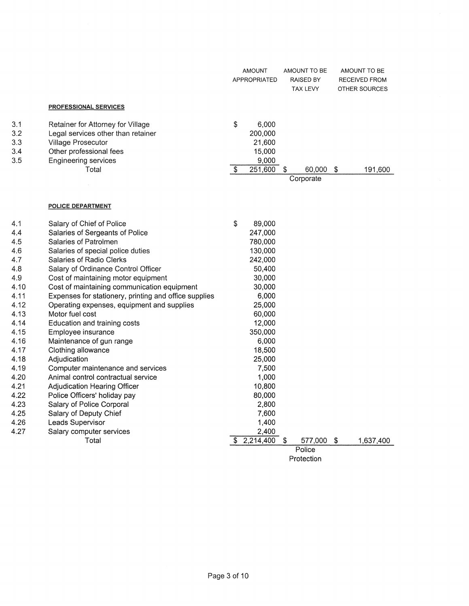|      |                                                       |                          | <b>AMOUNT</b><br>APPROPRIATED |            | AMOUNT TO BE<br>RAISED BY<br>TAX LEVY |    | AMOUNT TO BE<br><b>RECEIVED FROM</b><br>OTHER SOURCES |
|------|-------------------------------------------------------|--------------------------|-------------------------------|------------|---------------------------------------|----|-------------------------------------------------------|
|      | <b>PROFESSIONAL SERVICES</b>                          |                          |                               |            |                                       |    |                                                       |
| 3.1  | Retainer for Attorney for Village                     | \$                       | 6,000                         |            |                                       |    |                                                       |
| 3.2  | Legal services other than retainer                    |                          | 200,000                       |            |                                       |    |                                                       |
| 3.3  | Village Prosecutor                                    |                          | 21,600                        |            |                                       |    |                                                       |
| 3.4  | Other professional fees                               |                          | 15,000                        |            |                                       |    |                                                       |
| 3.5  | <b>Engineering services</b>                           |                          | 9,000                         |            |                                       |    |                                                       |
|      | Total                                                 | $\overline{\mathcal{S}}$ | 251,600                       | \$         | 60,000                                | \$ | 191,600                                               |
|      |                                                       |                          |                               |            | Corporate                             |    |                                                       |
|      |                                                       |                          |                               |            |                                       |    |                                                       |
|      | POLICE DEPARTMENT                                     |                          |                               |            |                                       |    |                                                       |
| 4.1  | Salary of Chief of Police                             | \$                       | 89,000                        |            |                                       |    |                                                       |
| 4.4  | Salaries of Sergeants of Police                       |                          | 247,000                       |            |                                       |    |                                                       |
| 4.5  | Salaries of Patrolmen                                 |                          | 780,000                       |            |                                       |    |                                                       |
| 4.6  | Salaries of special police duties                     |                          | 130,000                       |            |                                       |    |                                                       |
| 4.7  | Salaries of Radio Clerks                              |                          | 242,000                       |            |                                       |    |                                                       |
| 4.8  | Salary of Ordinance Control Officer                   |                          | 50,400                        |            |                                       |    |                                                       |
| 4.9  | Cost of maintaining motor equipment                   |                          | 30,000                        |            |                                       |    |                                                       |
| 4.10 | Cost of maintaining communication equipment           |                          | 30,000                        |            |                                       |    |                                                       |
| 4.11 | Expenses for stationery, printing and office supplies |                          | 6,000                         |            |                                       |    |                                                       |
| 4.12 | Operating expenses, equipment and supplies            |                          | 25,000                        |            |                                       |    |                                                       |
| 4.13 | Motor fuel cost                                       |                          | 60,000                        |            |                                       |    |                                                       |
| 4.14 | Education and training costs                          |                          | 12,000                        |            |                                       |    |                                                       |
| 4.15 | Employee insurance                                    |                          | 350,000                       |            |                                       |    |                                                       |
| 4.16 | Maintenance of gun range                              |                          | 6,000                         |            |                                       |    |                                                       |
| 4.17 | Clothing allowance                                    |                          | 18,500                        |            |                                       |    |                                                       |
| 4.18 | Adjudication                                          |                          | 25,000                        |            |                                       |    |                                                       |
| 4.19 | Computer maintenance and services                     |                          | 7,500                         |            |                                       |    |                                                       |
| 4.20 | Animal control contractual service                    |                          | 1,000                         |            |                                       |    |                                                       |
| 4.21 | <b>Adjudication Hearing Officer</b>                   |                          | 10,800                        |            |                                       |    |                                                       |
| 4.22 | Police Officers' holiday pay                          |                          | 80,000                        |            |                                       |    |                                                       |
| 4.23 | Salary of Police Corporal                             |                          | 2,800                         |            |                                       |    |                                                       |
| 4.25 | Salary of Deputy Chief                                |                          | 7,600                         |            |                                       |    |                                                       |
| 4.26 | Leads Supervisor                                      |                          | 1,400                         |            |                                       |    |                                                       |
| 4.27 | Salary computer services                              |                          | 2,400                         |            |                                       |    |                                                       |
|      | Total                                                 | S                        | 2,214,400                     | $\sqrt{3}$ | 577,000                               | \$ | 1,637,400                                             |
|      |                                                       |                          |                               |            | Police                                |    |                                                       |
|      |                                                       | Protection               |                               |            |                                       |    |                                                       |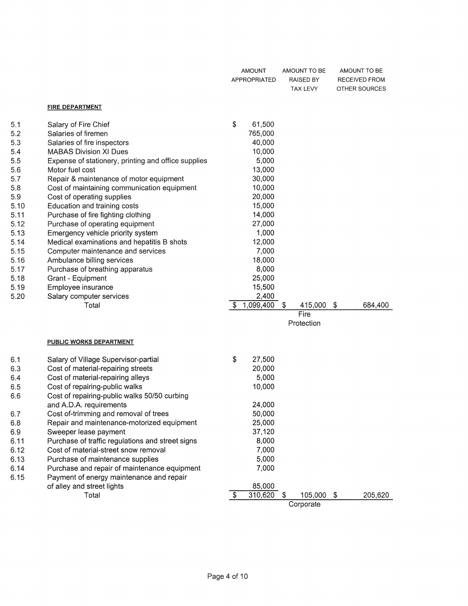|                                      |                                                                                                                                                                                                                          |    | <b>AMOUNT</b><br><b>APPROPRIATED</b>          |     | AMOUNT TO BE<br>RAISED BY<br>TAX LEVY | AMOUNT TO BE<br>RECEIVED FROM<br>OTHER SOURCES |
|--------------------------------------|--------------------------------------------------------------------------------------------------------------------------------------------------------------------------------------------------------------------------|----|-----------------------------------------------|-----|---------------------------------------|------------------------------------------------|
|                                      | <b>FIRE DEPARTMENT</b>                                                                                                                                                                                                   |    |                                               |     |                                       |                                                |
| 5.1<br>5.2<br>5.3<br>5.4             | Salary of Fire Chief<br>Salaries of firemen<br>Salaries of fire inspectors<br><b>MABAS Division XI Dues</b>                                                                                                              | \$ | 61,500<br>765,000<br>40,000<br>10,000         |     |                                       |                                                |
| 5.5<br>5.6<br>5.7                    | Expense of stationery, printing and office supplies<br>Motor fuel cost<br>Repair & maintenance of motor equipment                                                                                                        |    | 5,000<br>13,000<br>30,000                     |     |                                       |                                                |
| 5.8<br>5.9<br>5.10                   | Cost of maintaining communication equipment<br>Cost of operating supplies<br>Education and training costs                                                                                                                |    | 10,000<br>20,000<br>15,000                    |     |                                       |                                                |
| 5.11<br>5.12<br>5.13                 | Purchase of fire fighting clothing<br>Purchase of operating equipment<br>Emergency vehicle priority system                                                                                                               |    | 14,000<br>27,000<br>1,000                     |     |                                       |                                                |
| 5.14<br>5.15<br>5.16                 | Medical examinations and hepatitis B shots<br>Computer maintenance and services<br>Ambulance billing services                                                                                                            |    | 12,000<br>7,000<br>18,000                     |     |                                       |                                                |
| 5.17<br>5.18<br>5.19<br>5.20         | Purchase of breathing apparatus<br>Grant - Equipment<br>Employee insurance<br>Salary computer services                                                                                                                   |    | 8,000<br>25,000<br>15,500<br>2,400            |     |                                       |                                                |
|                                      | Total                                                                                                                                                                                                                    | \$ | 1,099,400                                     | \$  | 415,000<br>Fire<br>Protection         | \$<br>684,400                                  |
|                                      | <b>PUBLIC WORKS DEPARTMENT</b>                                                                                                                                                                                           |    |                                               |     |                                       |                                                |
| 6.1<br>6.3<br>6.4<br>6.5<br>6.6      | Salary of Village Supervisor-partial<br>Cost of material-repairing streets<br>Cost of material-repairing alleys<br>Cost of repairing-public walks<br>Cost of repairing-public walks 50/50 curbing                        | \$ | 27,500<br>20,000<br>5,000<br>10,000           |     |                                       |                                                |
| 6.7<br>6.8<br>6.9                    | and A.D.A. requirements<br>Cost of-trimming and removal of trees<br>Repair and maintenance-motorized equipment<br>Sweeper lease payment                                                                                  |    | 24,000<br>50,000<br>25,000<br>37,120<br>8,000 |     |                                       |                                                |
| 6.11<br>6.12<br>6.13<br>6.14<br>6.15 | Purchase of traffic regulations and street signs<br>Cost of material-street snow removal<br>Purchase of maintenance supplies<br>Purchase and repair of maintenance equipment<br>Payment of energy maintenance and repair |    | 7,000<br>5,000<br>7,000                       |     |                                       |                                                |
|                                      | of alley and street lights<br>Total                                                                                                                                                                                      | S. | 85,000<br>310,620                             | -\$ | 105,000<br>Corporate                  | \$<br>205,620                                  |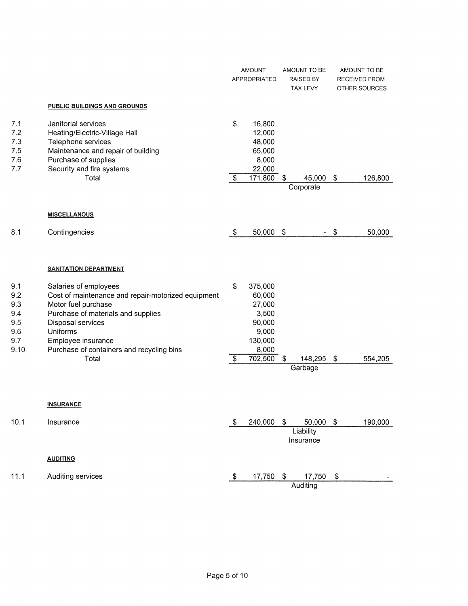|                                                       |                                                                                                                                                                                                                                              |            | <b>AMOUNT</b><br><b>APPROPRIATED</b>                                        | AMOUNT TO BE<br><b>RAISED BY</b><br>TAX LEVY | AMOUNT TO BE<br>RECEIVED FROM<br>OTHER SOURCES |
|-------------------------------------------------------|----------------------------------------------------------------------------------------------------------------------------------------------------------------------------------------------------------------------------------------------|------------|-----------------------------------------------------------------------------|----------------------------------------------|------------------------------------------------|
|                                                       | PUBLIC BUILDINGS AND GROUNDS                                                                                                                                                                                                                 |            |                                                                             |                                              |                                                |
| 7.1<br>7.2<br>7.3<br>7.5<br>7.6<br>7.7                | Janitorial services<br>Heating/Electric-Village Hall<br>Telephone services<br>Maintenance and repair of building<br>Purchase of supplies<br>Security and fire systems<br>Total                                                               | \$<br>\$   | 16,800<br>12,000<br>48,000<br>65,000<br>8,000<br>22,000<br>171,800          | \$<br>45,000<br>Corporate                    | \$<br>126,800                                  |
|                                                       | <b>MISCELLANOUS</b>                                                                                                                                                                                                                          |            |                                                                             |                                              |                                                |
| 8.1                                                   | Contingencies                                                                                                                                                                                                                                | $\sqrt{3}$ | 50,000                                                                      | \$<br>$\overline{\phantom{a}}$               | \$<br>50,000                                   |
|                                                       | <b>SANITATION DEPARTMENT</b>                                                                                                                                                                                                                 |            |                                                                             |                                              |                                                |
| 9.1<br>9.2<br>9.3<br>9.4<br>9.5<br>9.6<br>9.7<br>9.10 | Salaries of employees<br>Cost of maintenance and repair-motorized equipment<br>Motor fuel purchase<br>Purchase of materials and supplies<br>Disposal services<br>Uniforms<br>Employee insurance<br>Purchase of containers and recycling bins | \$         | 375,000<br>60,000<br>27,000<br>3,500<br>90,000<br>9,000<br>130,000<br>8,000 |                                              |                                                |
|                                                       | Total                                                                                                                                                                                                                                        | \$         | 702,500                                                                     | \$<br>148,295                                | \$<br>554,205                                  |
|                                                       | <b>INSURANCE</b>                                                                                                                                                                                                                             |            |                                                                             | Garbage                                      |                                                |
| 10.1                                                  | Insurance                                                                                                                                                                                                                                    | \$         | 240,000                                                                     | \$<br>50,000<br>Liability<br>Insurance       | \$<br>190,000                                  |
|                                                       | <b>AUDITING</b>                                                                                                                                                                                                                              |            |                                                                             |                                              |                                                |
| 11.1                                                  | Auditing services                                                                                                                                                                                                                            | \$         | 17,750                                                                      | \$<br>17,750<br>Auditing                     | \$                                             |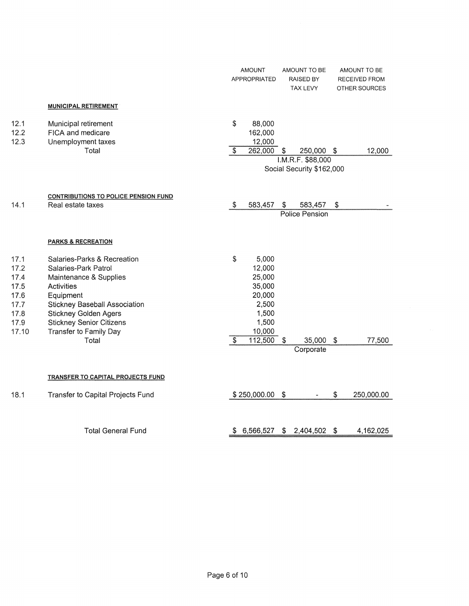|                                                                       |                                                                                                                                                                                                                                                               | <b>AMOUNT</b><br>AMOUNT TO BE<br>AMOUNT TO BE<br>APPROPRIATED<br><b>RAISED BY</b><br>RECEIVED FROM<br>TAX LEVY<br>OTHER SOURCES                         |
|-----------------------------------------------------------------------|---------------------------------------------------------------------------------------------------------------------------------------------------------------------------------------------------------------------------------------------------------------|---------------------------------------------------------------------------------------------------------------------------------------------------------|
|                                                                       | <b>MUNICIPAL RETIREMENT</b>                                                                                                                                                                                                                                   |                                                                                                                                                         |
| 12.1<br>12.2<br>12.3                                                  | Municipal retirement<br>FICA and medicare<br>Unemployment taxes<br>Total                                                                                                                                                                                      | \$<br>88,000<br>162,000<br>12,000<br>$\overline{\mathcal{S}}$<br>262,000<br>250,000 \$<br>12,000<br>S<br>I.M.R.F. \$88,000<br>Social Security \$162,000 |
| 14.1                                                                  | <b>CONTRIBUTIONS TO POLICE PENSION FUND</b><br>Real estate taxes                                                                                                                                                                                              | 583,457<br>\$<br>\$<br>\$<br>583,457<br>Police Pension                                                                                                  |
|                                                                       | <b>PARKS &amp; RECREATION</b>                                                                                                                                                                                                                                 |                                                                                                                                                         |
| 17.1<br>17.2<br>17.4<br>17.5<br>17.6<br>17.7<br>17.8<br>17.9<br>17.10 | Salaries-Parks & Recreation<br>Salaries-Park Patrol<br>Maintenance & Supplies<br><b>Activities</b><br>Equipment<br><b>Stickney Baseball Association</b><br><b>Stickney Golden Agers</b><br><b>Stickney Senior Citizens</b><br>Transfer to Family Day<br>Total | \$<br>5,000<br>12,000<br>25,000<br>35,000<br>20,000<br>2,500<br>1,500<br>1,500<br>10,000<br>112,500<br>\$<br>35,000<br>-\$<br>77,500<br>S<br>Corporate  |
|                                                                       | TRANSFER TO CAPITAL PROJECTS FUND                                                                                                                                                                                                                             |                                                                                                                                                         |
| 18.1                                                                  | Transfer to Capital Projects Fund                                                                                                                                                                                                                             | \$<br>\$250,000.00<br>$\sqrt[6]{3}$<br>250,000.00                                                                                                       |
|                                                                       | <b>Total General Fund</b>                                                                                                                                                                                                                                     | 6,566,527<br>\$<br>$\mathfrak{S}$<br>2,404,502<br>\$<br>4,162,025                                                                                       |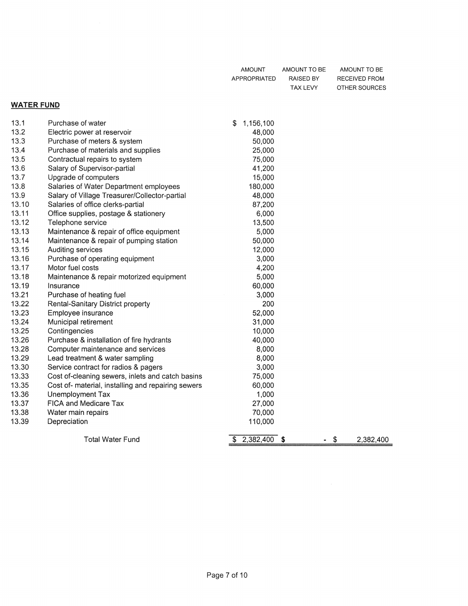| AMOUNT       | AMOUNT TO BE | AMOUNT TO BE  |
|--------------|--------------|---------------|
| APPROPRIATED | RAISED BY    | RECEIVED FROM |
|              |              |               |

# TAX LEVY OTHER SOURCES

#### WATER FUND

| 13.1  | Purchase of water                                  | 1,156,100<br>S |                 |
|-------|----------------------------------------------------|----------------|-----------------|
| 13.2  | Electric power at reservoir                        | 48,000         |                 |
| 13.3  | Purchase of meters & system                        | 50,000         |                 |
| 13.4  | Purchase of materials and supplies                 | 25,000         |                 |
| 13.5  | Contractual repairs to system                      | 75,000         |                 |
| 13.6  | Salary of Supervisor-partial                       | 41,200         |                 |
| 13.7  | Upgrade of computers                               | 15,000         |                 |
| 13.8  | Salaries of Water Department employees             | 180,000        |                 |
| 13.9  | Salary of Village Treasurer/Collector-partial      | 48,000         |                 |
| 13.10 | Salaries of office clerks-partial                  | 87,200         |                 |
| 13.11 | Office supplies, postage & stationery              | 6,000          |                 |
| 13.12 | Telephone service                                  | 13,500         |                 |
| 13.13 | Maintenance & repair of office equipment           | 5,000          |                 |
| 13.14 | Maintenance & repair of pumping station            | 50,000         |                 |
| 13.15 | Auditing services                                  | 12,000         |                 |
| 13.16 | Purchase of operating equipment                    | 3,000          |                 |
| 13.17 | Motor fuel costs                                   | 4,200          |                 |
| 13.18 | Maintenance & repair motorized equipment           | 5,000          |                 |
| 13.19 | Insurance                                          | 60,000         |                 |
| 13.21 | Purchase of heating fuel                           | 3,000          |                 |
| 13.22 | Rental-Sanitary District property                  | 200            |                 |
| 13.23 | Employee insurance                                 | 52,000         |                 |
| 13.24 | Municipal retirement                               | 31,000         |                 |
| 13.25 | Contingencies                                      | 10,000         |                 |
| 13.26 | Purchase & installation of fire hydrants           | 40,000         |                 |
| 13.28 | Computer maintenance and services                  | 8,000          |                 |
| 13.29 | Lead treatment & water sampling                    | 8,000          |                 |
| 13.30 | Service contract for radios & pagers               | 3,000          |                 |
| 13.33 | Cost of-cleaning sewers, inlets and catch basins   | 75,000         |                 |
| 13.35 | Cost of- material, installing and repairing sewers | 60,000         |                 |
| 13.36 | Unemployment Tax                                   | 1,000          |                 |
| 13.37 | FICA and Medicare Tax                              | 27,000         |                 |
| 13.38 | Water main repairs                                 | 70,000         |                 |
| 13.39 | Depreciation                                       | 110,000        |                 |
|       | <b>Total Water Fund</b>                            | $2,382,400$ \$ | \$<br>2,382,400 |
|       |                                                    |                |                 |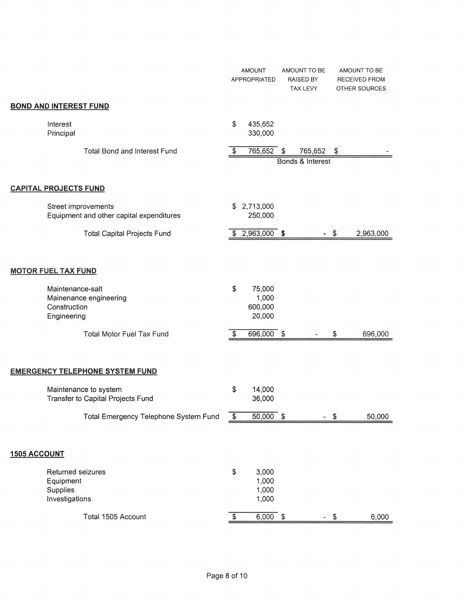|                                                                                                                                               |                  | <b>AMOUNT</b><br>APPROPRIATED        | AMOUNT TO BE<br><b>RAISED BY</b><br>TAX LEVY |                           | AMOUNT TO BE<br>RECEIVED FROM<br>OTHER SOURCES |
|-----------------------------------------------------------------------------------------------------------------------------------------------|------------------|--------------------------------------|----------------------------------------------|---------------------------|------------------------------------------------|
| <b>BOND AND INTEREST FUND</b>                                                                                                                 |                  |                                      |                                              |                           |                                                |
| Interest<br>Principal                                                                                                                         | \$               | 435,652<br>330,000                   |                                              |                           |                                                |
| <b>Total Bond and Interest Fund</b>                                                                                                           | \$               | 765,652                              | \$<br>765,652                                | $\boldsymbol{\mathsf{S}}$ |                                                |
|                                                                                                                                               |                  |                                      | Bonds & Interest                             |                           |                                                |
| <b>CAPITAL PROJECTS FUND</b>                                                                                                                  |                  |                                      |                                              |                           |                                                |
| Street improvements<br>Equipment and other capital expenditures                                                                               | S                | 2,713,000<br>250,000                 |                                              |                           |                                                |
| <b>Total Capital Projects Fund</b>                                                                                                            |                  | $2,963,000$ \$                       |                                              | S                         | 2,963,000                                      |
| <b>MOTOR FUEL TAX FUND</b>                                                                                                                    |                  |                                      |                                              |                           |                                                |
| Maintenance-salt<br>Mainenance engineering<br>Construction<br>Engineering                                                                     | \$               | 75,000<br>1,000<br>600,000<br>20,000 |                                              |                           |                                                |
| <b>Total Motor Fuel Tax Fund</b>                                                                                                              | \$               | 696,000                              | \$                                           | \$                        | 696,000                                        |
| <b>EMERGENCY TELEPHONE SYSTEM FUND</b><br>Maintenance to system<br>Transfer to Capital Projects Fund<br>Total Emergency Telephone System Fund | \$<br>$\sqrt{3}$ | 14,000<br>36,000<br>$50,000$ \$      |                                              | - \$                      | 50,000                                         |
|                                                                                                                                               |                  |                                      |                                              |                           |                                                |
| <b>1505 ACCOUNT</b>                                                                                                                           |                  |                                      |                                              |                           |                                                |
| Returned seizures<br>Equipment<br>Supplies<br>Investigations                                                                                  | \$               | 3,000<br>1,000<br>1,000<br>1,000     |                                              |                           |                                                |
| Total 1505 Account                                                                                                                            | \$               | $6,000$ \$                           |                                              | - \$                      | 6,000                                          |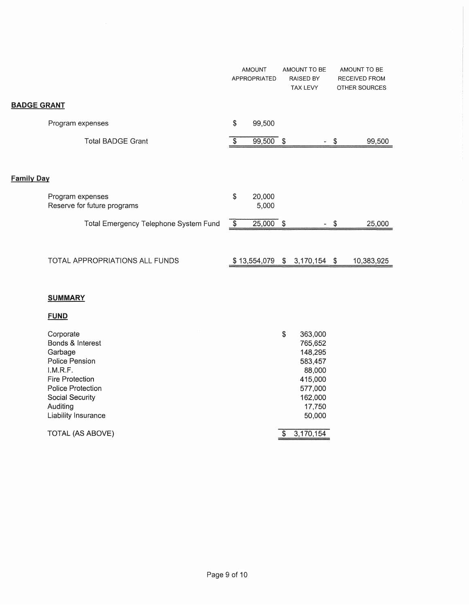|                                                 | <b>AMOUNT</b><br>APPROPRIATED |      | AMOUNT TO BE<br>RAISED BY<br>TAX LEVY |      | AMOUNT TO BE<br><b>RECEIVED FROM</b><br>OTHER SOURCES |
|-------------------------------------------------|-------------------------------|------|---------------------------------------|------|-------------------------------------------------------|
| <b>BADGE GRANT</b>                              |                               |      |                                       |      |                                                       |
| Program expenses                                | \$<br>99,500                  |      |                                       |      |                                                       |
| <b>Total BADGE Grant</b>                        | 99,500                        | - \$ |                                       | S    | 99,500                                                |
|                                                 |                               |      |                                       |      |                                                       |
| <b>Family Day</b>                               |                               |      |                                       |      |                                                       |
| Program expenses<br>Reserve for future programs | \$<br>20,000<br>5,000         |      |                                       |      |                                                       |
| Total Emergency Telephone System Fund           | \$<br>$25,000$ \$             |      |                                       | S    | 25,000                                                |
|                                                 |                               |      |                                       |      |                                                       |
| TOTAL APPROPRIATIONS ALL FUNDS                  | \$13,554,079                  |      | \$3,170,154                           | - \$ | 10,383,925                                            |

#### **SUMMARY**

**FUND** 

| Corporate              | \$<br>363,000 |
|------------------------|---------------|
| Bonds & Interest       | 765,652       |
| Garbage                | 148,295       |
| Police Pension         | 583,457       |
| I.M.R.F.               | 88,000        |
| <b>Fire Protection</b> | 415,000       |
| Police Protection      | 577,000       |
| Social Security        | 162,000       |
| Auditing               | 17,750        |
| Liability Insurance    | 50,000        |
| TOTAL (AS ABOVE)       | 3.170.154     |